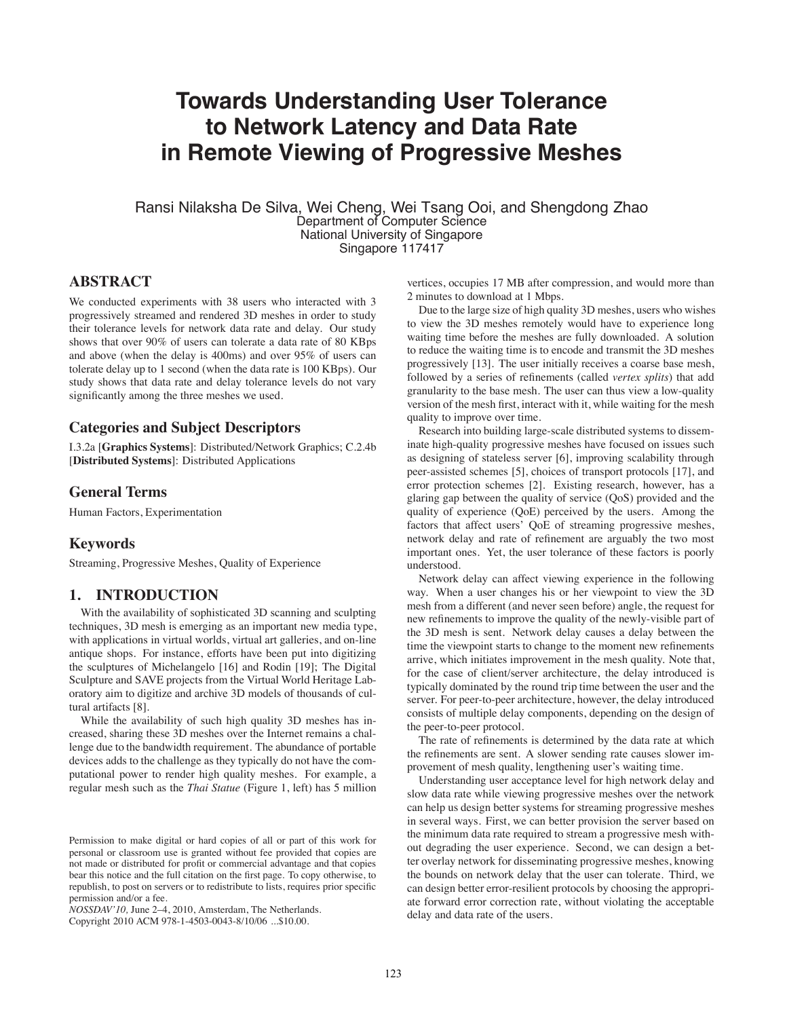# **Towards Understanding User Tolerance to Network Latency and Data Rate in Remote Viewing of Progressive Meshes**

Ransi Nilaksha De Silva, Wei Cheng, Wei Tsang Ooi, and Shengdong Zhao Department of Computer Science National University of Singapore Singapore 117417

# **ABSTRACT**

We conducted experiments with 38 users who interacted with 3 progressively streamed and rendered 3D meshes in order to study their tolerance levels for network data rate and delay. Our study shows that over 90% of users can tolerate a data rate of 80 KBps and above (when the delay is 400ms) and over 95% of users can tolerate delay up to 1 second (when the data rate is 100 KBps). Our study shows that data rate and delay tolerance levels do not vary significantly among the three meshes we used.

## **Categories and Subject Descriptors**

I.3.2a [**Graphics Systems**]: Distributed/Network Graphics; C.2.4b [**Distributed Systems**]: Distributed Applications

#### **General Terms**

Human Factors, Experimentation

## **Keywords**

Streaming, Progressive Meshes, Quality of Experience

# **1. INTRODUCTION**

With the availability of sophisticated 3D scanning and sculpting techniques, 3D mesh is emerging as an important new media type, with applications in virtual worlds, virtual art galleries, and on-line antique shops. For instance, efforts have been put into digitizing the sculptures of Michelangelo [16] and Rodin [19]; The Digital Sculpture and SAVE projects from the Virtual World Heritage Laboratory aim to digitize and archive 3D models of thousands of cultural artifacts [8].

While the availability of such high quality 3D meshes has increased, sharing these 3D meshes over the Internet remains a challenge due to the bandwidth requirement. The abundance of portable devices adds to the challenge as they typically do not have the computational power to render high quality meshes. For example, a regular mesh such as the *Thai Statue* (Figure 1, left) has 5 million

*NOSSDAV'10,* June 2–4, 2010, Amsterdam, The Netherlands.

Copyright 2010 ACM 978-1-4503-0043-8/10/06 ...\$10.00.

vertices, occupies 17 MB after compression, and would more than 2 minutes to download at 1 Mbps.

Due to the large size of high quality 3D meshes, users who wishes to view the 3D meshes remotely would have to experience long waiting time before the meshes are fully downloaded. A solution to reduce the waiting time is to encode and transmit the 3D meshes progressively [13]. The user initially receives a coarse base mesh, followed by a series of refinements (called *vertex splits*) that add granularity to the base mesh. The user can thus view a low-quality version of the mesh first, interact with it, while waiting for the mesh quality to improve over time.

Research into building large-scale distributed systems to disseminate high-quality progressive meshes have focused on issues such as designing of stateless server [6], improving scalability through peer-assisted schemes [5], choices of transport protocols [17], and error protection schemes [2]. Existing research, however, has a glaring gap between the quality of service (QoS) provided and the quality of experience (QoE) perceived by the users. Among the factors that affect users' QoE of streaming progressive meshes, network delay and rate of refinement are arguably the two most important ones. Yet, the user tolerance of these factors is poorly understood.

Network delay can affect viewing experience in the following way. When a user changes his or her viewpoint to view the 3D mesh from a different (and never seen before) angle, the request for new refinements to improve the quality of the newly-visible part of the 3D mesh is sent. Network delay causes a delay between the time the viewpoint starts to change to the moment new refinements arrive, which initiates improvement in the mesh quality. Note that, for the case of client/server architecture, the delay introduced is typically dominated by the round trip time between the user and the server. For peer-to-peer architecture, however, the delay introduced consists of multiple delay components, depending on the design of the peer-to-peer protocol.

The rate of refinements is determined by the data rate at which the refinements are sent. A slower sending rate causes slower improvement of mesh quality, lengthening user's waiting time.

Understanding user acceptance level for high network delay and slow data rate while viewing progressive meshes over the network can help us design better systems for streaming progressive meshes in several ways. First, we can better provision the server based on the minimum data rate required to stream a progressive mesh without degrading the user experience. Second, we can design a better overlay network for disseminating progressive meshes, knowing the bounds on network delay that the user can tolerate. Third, we can design better error-resilient protocols by choosing the appropriate forward error correction rate, without violating the acceptable delay and data rate of the users.

Permission to make digital or hard copies of all or part of this work for personal or classroom use is granted without fee provided that copies are not made or distributed for profit or commercial advantage and that copies bear this notice and the full citation on the first page. To copy otherwise, to republish, to post on servers or to redistribute to lists, requires prior specific permission and/or a fee.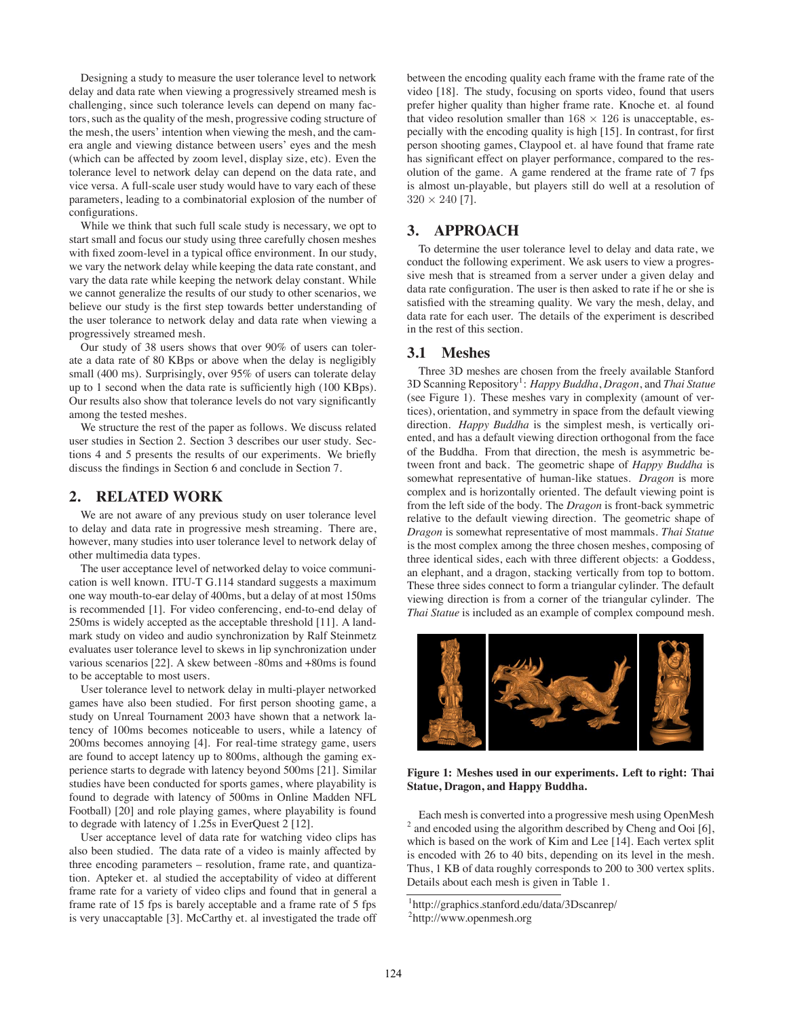Designing a study to measure the user tolerance level to network delay and data rate when viewing a progressively streamed mesh is challenging, since such tolerance levels can depend on many factors, such as the quality of the mesh, progressive coding structure of the mesh, the users' intention when viewing the mesh, and the camera angle and viewing distance between users' eyes and the mesh (which can be affected by zoom level, display size, etc). Even the tolerance level to network delay can depend on the data rate, and vice versa. A full-scale user study would have to vary each of these parameters, leading to a combinatorial explosion of the number of configurations.

While we think that such full scale study is necessary, we opt to start small and focus our study using three carefully chosen meshes with fixed zoom-level in a typical office environment. In our study, we vary the network delay while keeping the data rate constant, and vary the data rate while keeping the network delay constant. While we cannot generalize the results of our study to other scenarios, we believe our study is the first step towards better understanding of the user tolerance to network delay and data rate when viewing a progressively streamed mesh.

Our study of 38 users shows that over 90% of users can tolerate a data rate of 80 KBps or above when the delay is negligibly small (400 ms). Surprisingly, over 95% of users can tolerate delay up to 1 second when the data rate is sufficiently high (100 KBps). Our results also show that tolerance levels do not vary significantly among the tested meshes.

We structure the rest of the paper as follows. We discuss related user studies in Section 2. Section 3 describes our user study. Sections 4 and 5 presents the results of our experiments. We briefly discuss the findings in Section 6 and conclude in Section 7.

## **2. RELATED WORK**

We are not aware of any previous study on user tolerance level to delay and data rate in progressive mesh streaming. There are, however, many studies into user tolerance level to network delay of other multimedia data types.

The user acceptance level of networked delay to voice communication is well known. ITU-T G.114 standard suggests a maximum one way mouth-to-ear delay of 400ms, but a delay of at most 150ms is recommended [1]. For video conferencing, end-to-end delay of 250ms is widely accepted as the acceptable threshold [11]. A landmark study on video and audio synchronization by Ralf Steinmetz evaluates user tolerance level to skews in lip synchronization under various scenarios [22]. A skew between -80ms and +80ms is found to be acceptable to most users.

User tolerance level to network delay in multi-player networked games have also been studied. For first person shooting game, a study on Unreal Tournament 2003 have shown that a network latency of 100ms becomes noticeable to users, while a latency of 200ms becomes annoying [4]. For real-time strategy game, users are found to accept latency up to 800ms, although the gaming experience starts to degrade with latency beyond 500ms [21]. Similar studies have been conducted for sports games, where playability is found to degrade with latency of 500ms in Online Madden NFL Football) [20] and role playing games, where playability is found to degrade with latency of 1.25s in EverQuest 2 [12].

User acceptance level of data rate for watching video clips has also been studied. The data rate of a video is mainly affected by three encoding parameters – resolution, frame rate, and quantization. Apteker et. al studied the acceptability of video at different frame rate for a variety of video clips and found that in general a frame rate of 15 fps is barely acceptable and a frame rate of 5 fps is very unaccaptable [3]. McCarthy et. al investigated the trade off

between the encoding quality each frame with the frame rate of the video [18]. The study, focusing on sports video, found that users prefer higher quality than higher frame rate. Knoche et. al found that video resolution smaller than  $168 \times 126$  is unacceptable, especially with the encoding quality is high [15]. In contrast, for first person shooting games, Claypool et. al have found that frame rate has significant effect on player performance, compared to the resolution of the game. A game rendered at the frame rate of 7 fps is almost un-playable, but players still do well at a resolution of  $320 \times 240$  [7].

# **3. APPROACH**

To determine the user tolerance level to delay and data rate, we conduct the following experiment. We ask users to view a progressive mesh that is streamed from a server under a given delay and data rate configuration. The user is then asked to rate if he or she is satisfied with the streaming quality. We vary the mesh, delay, and data rate for each user. The details of the experiment is described in the rest of this section.

# **3.1 Meshes**

Three 3D meshes are chosen from the freely available Stanford 3D Scanning Repository<sup>1</sup>: Happy Buddha, Dragon, and Thai Statue (see Figure 1). These meshes vary in complexity (amount of vertices), orientation, and symmetry in space from the default viewing direction. *Happy Buddha* is the simplest mesh, is vertically oriented, and has a default viewing direction orthogonal from the face of the Buddha. From that direction, the mesh is asymmetric between front and back. The geometric shape of *Happy Buddha* is somewhat representative of human-like statues. *Dragon* is more complex and is horizontally oriented. The default viewing point is from the left side of the body. The *Dragon* is front-back symmetric relative to the default viewing direction. The geometric shape of *Dragon* is somewhat representative of most mammals. *Thai Statue* is the most complex among the three chosen meshes, composing of three identical sides, each with three different objects: a Goddess, an elephant, and a dragon, stacking vertically from top to bottom. These three sides connect to form a triangular cylinder. The default viewing direction is from a corner of the triangular cylinder. The *Thai Statue* is included as an example of complex compound mesh.



**Figure 1: Meshes used in our experiments. Left to right: Thai Statue, Dragon, and Happy Buddha.**

Each mesh is converted into a progressive mesh using OpenMesh <sup>2</sup> and encoded using the algorithm described by Cheng and Ooi [6], which is based on the work of Kim and Lee [14]. Each vertex split is encoded with 26 to 40 bits, depending on its level in the mesh. Thus, 1 KB of data roughly corresponds to 200 to 300 vertex splits. Details about each mesh is given in Table 1.

<sup>1</sup> http://graphics.stanford.edu/data/3Dscanrep/ 2 http://www.openmesh.org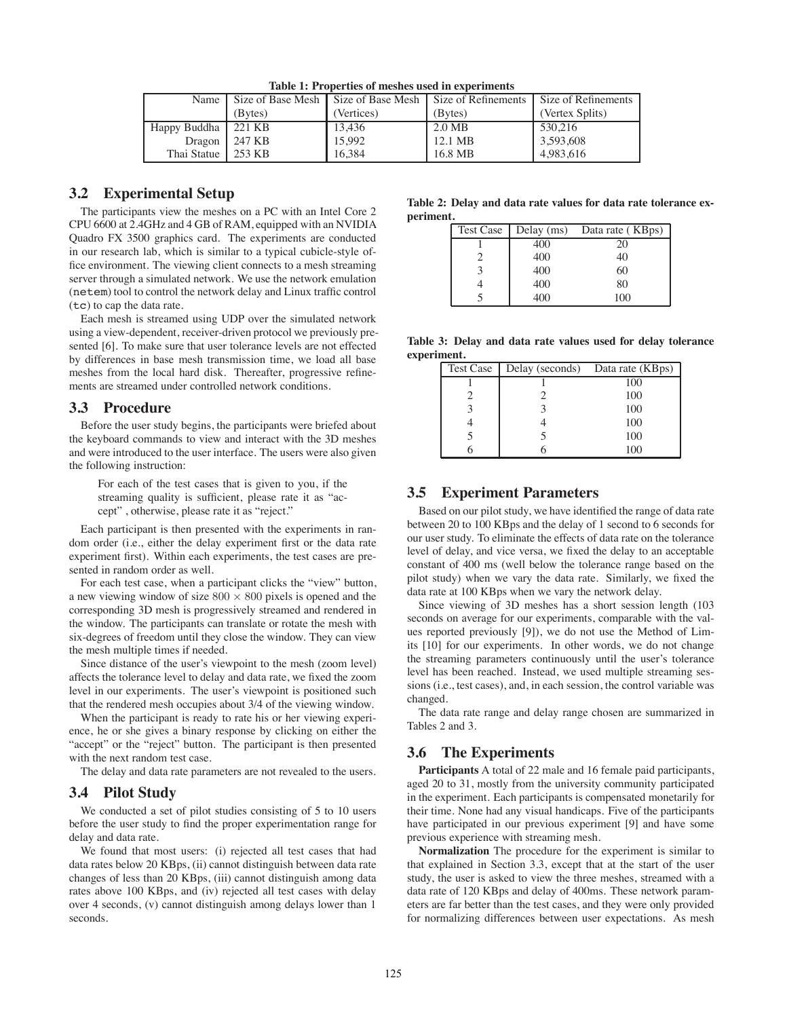| Name         |                   |            | Size of Base Mesh   Size of Base Mesh   Size of Refinements | Size of Refinements |
|--------------|-------------------|------------|-------------------------------------------------------------|---------------------|
|              | (Bytes)           | (Vertices) | (Bytes)                                                     | (Vertex Splits)     |
| Happy Buddha | 221 KB            | 13,436     | 2.0 MB                                                      | 530,216             |
| Dragon       | $\frac{1247}{18}$ | 15.992     | 12.1 MB                                                     | 3,593,608           |
| Thai Statue  | 253 KB            | 16.384     | 16.8 MB                                                     | 4.983.616           |

**Table 1: Properties of meshes used in experiments**

# **3.2 Experimental Setup**

The participants view the meshes on a PC with an Intel Core 2 CPU 6600 at 2.4GHz and 4 GB of RAM, equipped with an NVIDIA Quadro FX 3500 graphics card. The experiments are conducted in our research lab, which is similar to a typical cubicle-style office environment. The viewing client connects to a mesh streaming server through a simulated network. We use the network emulation (netem) tool to control the network delay and Linux traffic control (tc) to cap the data rate.

Each mesh is streamed using UDP over the simulated network using a view-dependent, receiver-driven protocol we previously presented [6]. To make sure that user tolerance levels are not effected by differences in base mesh transmission time, we load all base meshes from the local hard disk. Thereafter, progressive refinements are streamed under controlled network conditions.

#### **3.3 Procedure**

Before the user study begins, the participants were briefed about the keyboard commands to view and interact with the 3D meshes and were introduced to the user interface. The users were also given the following instruction:

For each of the test cases that is given to you, if the streaming quality is sufficient, please rate it as "accept" , otherwise, please rate it as "reject."

Each participant is then presented with the experiments in random order (i.e., either the delay experiment first or the data rate experiment first). Within each experiments, the test cases are presented in random order as well.

For each test case, when a participant clicks the "view" button, a new viewing window of size 800 *×* 800 pixels is opened and the corresponding 3D mesh is progressively streamed and rendered in the window. The participants can translate or rotate the mesh with six-degrees of freedom until they close the window. They can view the mesh multiple times if needed.

Since distance of the user's viewpoint to the mesh (zoom level) affects the tolerance level to delay and data rate, we fixed the zoom level in our experiments. The user's viewpoint is positioned such that the rendered mesh occupies about 3/4 of the viewing window.

When the participant is ready to rate his or her viewing experience, he or she gives a binary response by clicking on either the "accept" or the "reject" button. The participant is then presented with the next random test case.

The delay and data rate parameters are not revealed to the users.

#### **3.4 Pilot Study**

We conducted a set of pilot studies consisting of 5 to 10 users before the user study to find the proper experimentation range for delay and data rate.

We found that most users: (i) rejected all test cases that had data rates below 20 KBps, (ii) cannot distinguish between data rate changes of less than 20 KBps, (iii) cannot distinguish among data rates above 100 KBps, and (iv) rejected all test cases with delay over 4 seconds, (v) cannot distinguish among delays lower than 1 seconds.

**Table 2: Delay and data rate values for data rate tolerance experiment.**

| Test Case | Delay (ms) | Data rate (KBps) |
|-----------|------------|------------------|
|           | 400        |                  |
|           | 400        | 40               |
|           | 400        | 60               |
|           | 400        | 80               |
|           | 400        | 100              |

**Table 3: Delay and data rate values used for delay tolerance experiment.**

| Test Case | Delay (seconds) Data rate (KBps) |     |
|-----------|----------------------------------|-----|
|           |                                  | 100 |
|           |                                  | 100 |
|           |                                  | 100 |
|           |                                  | 100 |
|           |                                  | 100 |
|           |                                  |     |

# **3.5 Experiment Parameters**

Based on our pilot study, we have identified the range of data rate between 20 to 100 KBps and the delay of 1 second to 6 seconds for our user study. To eliminate the effects of data rate on the tolerance level of delay, and vice versa, we fixed the delay to an acceptable constant of 400 ms (well below the tolerance range based on the pilot study) when we vary the data rate. Similarly, we fixed the data rate at 100 KBps when we vary the network delay.

Since viewing of 3D meshes has a short session length (103 seconds on average for our experiments, comparable with the values reported previously [9]), we do not use the Method of Limits [10] for our experiments. In other words, we do not change the streaming parameters continuously until the user's tolerance level has been reached. Instead, we used multiple streaming sessions (i.e., test cases), and, in each session, the control variable was changed.

The data rate range and delay range chosen are summarized in Tables 2 and 3.

# **3.6 The Experiments**

**Participants** A total of 22 male and 16 female paid participants, aged 20 to 31, mostly from the university community participated in the experiment. Each participants is compensated monetarily for their time. None had any visual handicaps. Five of the participants have participated in our previous experiment [9] and have some previous experience with streaming mesh.

**Normalization** The procedure for the experiment is similar to that explained in Section 3.3, except that at the start of the user study, the user is asked to view the three meshes, streamed with a data rate of 120 KBps and delay of 400ms. These network parameters are far better than the test cases, and they were only provided for normalizing differences between user expectations. As mesh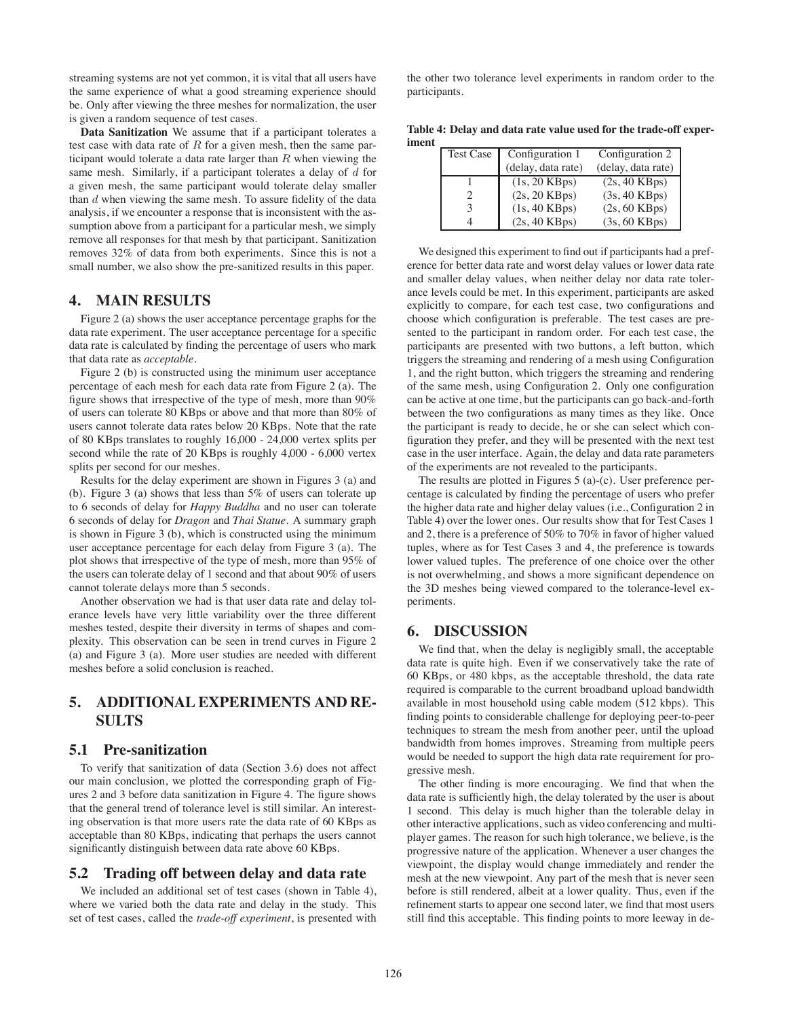streaming systems are not yet common, it is vital that all users have the same experience of what a good streaming experience should be. Only after viewing the three meshes for normalization, the user is given a random sequence of test cases.

**Data Sanitization** We assume that if a participant tolerates a test case with data rate of *R* for a given mesh, then the same participant would tolerate a data rate larger than *R* when viewing the same mesh. Similarly, if a participant tolerates a delay of *d* for a given mesh, the same participant would tolerate delay smaller than *d* when viewing the same mesh. To assure fidelity of the data analysis, if we encounter a response that is inconsistent with the assumption above from a participant for a particular mesh, we simply remove all responses for that mesh by that participant. Sanitization removes 32% of data from both experiments. Since this is not a small number, we also show the pre-sanitized results in this paper.

## **4. MAIN RESULTS**

Figure 2 (a) shows the user acceptance percentage graphs for the data rate experiment. The user acceptance percentage for a specific data rate is calculated by finding the percentage of users who mark that data rate as *acceptable*.

Figure 2 (b) is constructed using the minimum user acceptance percentage of each mesh for each data rate from Figure 2 (a). The figure shows that irrespective of the type of mesh, more than 90% of users can tolerate 80 KBps or above and that more than 80% of users cannot tolerate data rates below 20 KBps. Note that the rate of 80 KBps translates to roughly 16,000 - 24,000 vertex splits per second while the rate of 20 KBps is roughly 4,000 - 6,000 vertex splits per second for our meshes.

Results for the delay experiment are shown in Figures 3 (a) and (b). Figure 3 (a) shows that less than 5% of users can tolerate up to 6 seconds of delay for *Happy Buddha* and no user can tolerate 6 seconds of delay for *Dragon* and *Thai Statue*. A summary graph is shown in Figure 3 (b), which is constructed using the minimum user acceptance percentage for each delay from Figure 3 (a). The plot shows that irrespective of the type of mesh, more than 95% of the users can tolerate delay of 1 second and that about 90% of users cannot tolerate delays more than 5 seconds.

Another observation we had is that user data rate and delay tolerance levels have very little variability over the three different meshes tested, despite their diversity in terms of shapes and complexity. This observation can be seen in trend curves in Figure 2 (a) and Figure 3 (a). More user studies are needed with different meshes before a solid conclusion is reached.

# **5. ADDITIONAL EXPERIMENTS AND RE-SULTS**

#### **5.1 Pre-sanitization**

To verify that sanitization of data (Section 3.6) does not affect our main conclusion, we plotted the corresponding graph of Figures 2 and 3 before data sanitization in Figure 4. The figure shows that the general trend of tolerance level is still similar. An interesting observation is that more users rate the data rate of 60 KBps as acceptable than 80 KBps, indicating that perhaps the users cannot significantly distinguish between data rate above 60 KBps.

## **5.2 Trading off between delay and data rate**

We included an additional set of test cases (shown in Table 4), where we varied both the data rate and delay in the study. This set of test cases, called the *trade-off experiment*, is presented with

the other two tolerance level experiments in random order to the participants.

**Table 4: Delay and data rate value used for the trade-off experiment**

| Test Case | Configuration 1         | Configuration 2         |
|-----------|-------------------------|-------------------------|
|           | (delay, data rate)      | (delay, data rate)      |
|           | $(1s, 20 \text{ KBps})$ | $(2s, 40 \text{ KBps})$ |
|           | $(2s, 20$ KBps)         | $(3s, 40$ KBps)         |
|           | $(1s, 40$ KBps)         | $(2s, 60$ KBps)         |
|           | $(2s, 40$ KBps)         | $(3s, 60$ KBps)         |

We designed this experiment to find out if participants had a preference for better data rate and worst delay values or lower data rate and smaller delay values, when neither delay nor data rate tolerance levels could be met. In this experiment, participants are asked explicitly to compare, for each test case, two configurations and choose which configuration is preferable. The test cases are presented to the participant in random order. For each test case, the participants are presented with two buttons, a left button, which triggers the streaming and rendering of a mesh using Configuration 1, and the right button, which triggers the streaming and rendering of the same mesh, using Configuration 2. Only one configuration can be active at one time, but the participants can go back-and-forth between the two configurations as many times as they like. Once the participant is ready to decide, he or she can select which configuration they prefer, and they will be presented with the next test case in the user interface. Again, the delay and data rate parameters of the experiments are not revealed to the participants.

The results are plotted in Figures 5 (a)-(c). User preference percentage is calculated by finding the percentage of users who prefer the higher data rate and higher delay values (i.e., Configuration 2 in Table 4) over the lower ones. Our results show that for Test Cases 1 and 2, there is a preference of 50% to 70% in favor of higher valued tuples, where as for Test Cases 3 and 4, the preference is towards lower valued tuples. The preference of one choice over the other is not overwhelming, and shows a more significant dependence on the 3D meshes being viewed compared to the tolerance-level experiments.

#### **6. DISCUSSION**

We find that, when the delay is negligibly small, the acceptable data rate is quite high. Even if we conservatively take the rate of 60 KBps, or 480 kbps, as the acceptable threshold, the data rate required is comparable to the current broadband upload bandwidth available in most household using cable modem (512 kbps). This finding points to considerable challenge for deploying peer-to-peer techniques to stream the mesh from another peer, until the upload bandwidth from homes improves. Streaming from multiple peers would be needed to support the high data rate requirement for progressive mesh.

The other finding is more encouraging. We find that when the data rate is sufficiently high, the delay tolerated by the user is about 1 second. This delay is much higher than the tolerable delay in other interactive applications, such as video conferencing and multiplayer games. The reason for such high tolerance, we believe, is the progressive nature of the application. Whenever a user changes the viewpoint, the display would change immediately and render the mesh at the new viewpoint. Any part of the mesh that is never seen before is still rendered, albeit at a lower quality. Thus, even if the refinement starts to appear one second later, we find that most users still find this acceptable. This finding points to more leeway in de-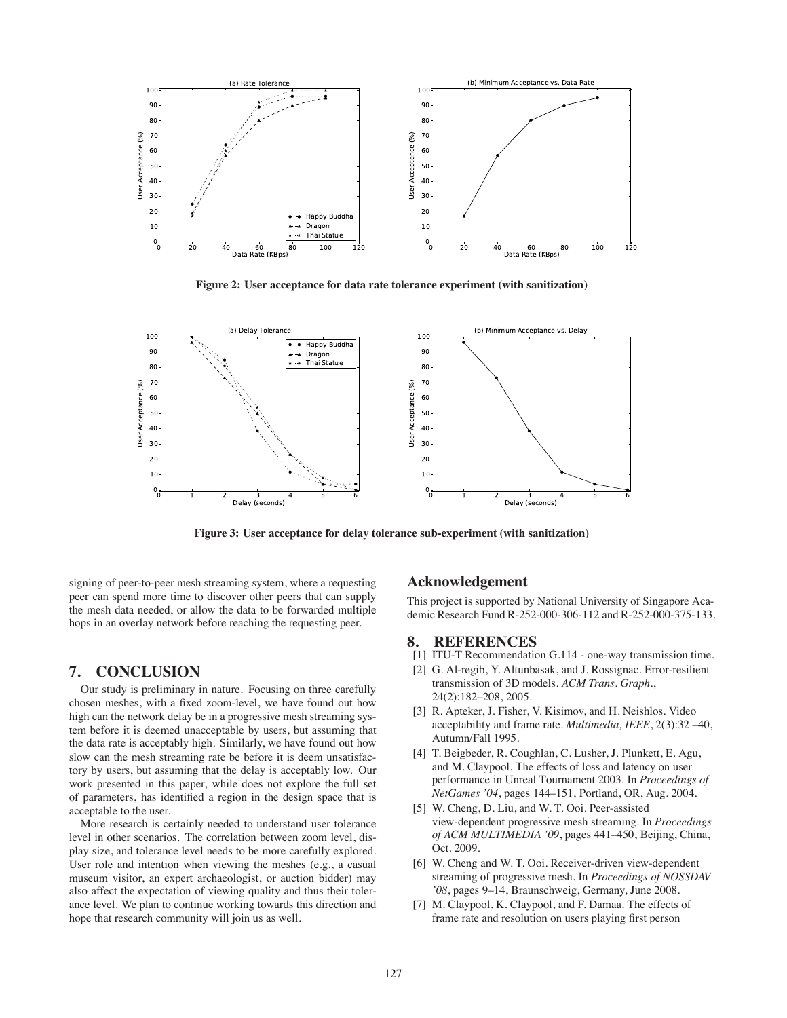

**Figure 2: User acceptance for data rate tolerance experiment (with sanitization)**



**Figure 3: User acceptance for delay tolerance sub-experiment (with sanitization)**

signing of peer-to-peer mesh streaming system, where a requesting peer can spend more time to discover other peers that can supply the mesh data needed, or allow the data to be forwarded multiple hops in an overlay network before reaching the requesting peer.

#### **7. CONCLUSION**

Our study is preliminary in nature. Focusing on three carefully chosen meshes, with a fixed zoom-level, we have found out how high can the network delay be in a progressive mesh streaming system before it is deemed unacceptable by users, but assuming that the data rate is acceptably high. Similarly, we have found out how slow can the mesh streaming rate be before it is deem unsatisfactory by users, but assuming that the delay is acceptably low. Our work presented in this paper, while does not explore the full set of parameters, has identified a region in the design space that is acceptable to the user.

More research is certainly needed to understand user tolerance level in other scenarios. The correlation between zoom level, display size, and tolerance level needs to be more carefully explored. User role and intention when viewing the meshes (e.g., a casual museum visitor, an expert archaeologist, or auction bidder) may also affect the expectation of viewing quality and thus their tolerance level. We plan to continue working towards this direction and hope that research community will join us as well.

# **Acknowledgement**

This project is supported by National University of Singapore Academic Research Fund R-252-000-306-112 and R-252-000-375-133.

# **8. REFERENCES**

- [1] ITU-T Recommendation G.114 one-way transmission time.
- [2] G. Al-regib, Y. Altunbasak, and J. Rossignac. Error-resilient transmission of 3D models. *ACM Trans. Graph.*, 24(2):182–208, 2005.
- [3] R. Apteker, J. Fisher, V. Kisimov, and H. Neishlos. Video acceptability and frame rate. *Multimedia, IEEE*, 2(3):32 –40, Autumn/Fall 1995.
- [4] T. Beigbeder, R. Coughlan, C. Lusher, J. Plunkett, E. Agu, and M. Claypool. The effects of loss and latency on user performance in Unreal Tournament 2003. In *Proceedings of NetGames '04*, pages 144–151, Portland, OR, Aug. 2004.
- [5] W. Cheng, D. Liu, and W. T. Ooi. Peer-assisted view-dependent progressive mesh streaming. In *Proceedings of ACM MULTIMEDIA '09*, pages 441–450, Beijing, China, Oct. 2009.
- [6] W. Cheng and W. T. Ooi. Receiver-driven view-dependent streaming of progressive mesh. In *Proceedings of NOSSDAV '08*, pages 9–14, Braunschweig, Germany, June 2008.
- [7] M. Claypool, K. Claypool, and F. Damaa. The effects of frame rate and resolution on users playing first person